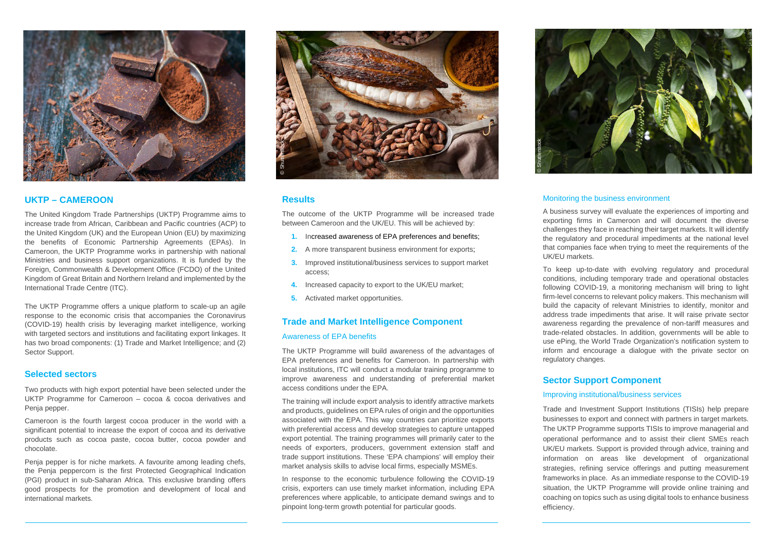

# Monitoring the business environment

A business survey will evaluate the experiences of importing and exporting firms in Cameroon and will document the diverse challenges they face in reaching their target markets. It will identify the regulatory and procedural impediments at the national level that companies face when trying to meet the requirements of the UK/EU markets.

To keep up-to-date with evolving regulatory and procedural conditions, including temporary trade and operational obstacles following COVID-19, a monitoring mechanism will bring to light firm-level concerns to relevant policy makers. This mechanism will build the capacity of relevant Ministries to identify, monitor and address trade impediments that arise. It will raise private sector awareness regarding the prevalence of non-tariff measures and trade-related obstacles. In addition, governments will be able to use ePing, the World Trade Organization's notification system to inform and encourage a dialogue with the private sector on regulatory changes.

# **Sector Support Component** Improving institutional/business services

Trade and Investment Support Institutions (TISIs) help prepare businesses to export and connect with partners in target markets. The UKTP Programme supports TISIs to improve managerial and operational performance and to assist their client SMEs reach UK/EU markets. Support is provided through advice, training and information on areas like development of organizational strategies, refining service offerings and putting measurement frameworks in place. As an immediate response to the COVID-19 situation, the UKTP Programme will provide online training and coaching on topics such as using digital tools to enhance business efficiency.



- **1.** Increased awareness of EPA preferences and benefits;
- **2.** A more transparent business environment for exports;
- **3.** Improved institutional/business services to support market access;
- **4.** Increased capacity to export to the UK/EU market;
- **5.** Activated market opportunities.

# **UKTP – CAMEROON**

The United Kingdom Trade Partnerships (UKTP) Programme aims to increase trade from African, Caribbean and Pacific countries (ACP) to the United Kingdom (UK) and the European Union (EU) by maximizing the benefits of Economic Partnership Agreements (EPAs). In Cameroon, the UKTP Programme works in partnership with national Ministries and business support organizations. It is funded by the Foreign, Commonwealth & Development Office (FCDO) of the United Kingdom of Great Britain and Northern Ireland and implemented by the International Trade Centre (ITC).

The training will include export analysis to identify attractive markets and products, guidelines on EPA rules of origin and the opportunities associated with the EPA. This way countries can prioritize exports with preferential access and develop strategies to capture untapped export potential. The training programmes will primarily cater to the needs of exporters, producers, government extension staff and trade support institutions. These 'EPA champions' will employ their market analysis skills to advise local firms, especially MSMEs. **Example 12**<br> **Results**<br>
The outcome of the UKTP Programme will be increased<br>
1. Increased awareness of EPA preferences and b<br>
2. A more transparent business environment for ex<br>
3. Improved institutional/business services

The UKTP Programme offers a unique platform to scale-up an agile response to the economic crisis that accompanies the Coronavirus (COVID-19) health crisis by leveraging market intelligence, working with targeted sectors and institutions and facilitating export linkages. It has two broad components: (1) Trade and Market Intelligence; and (2) Sector Support.

## **Selected sectors**

Two products with high export potential have been selected under the UKTP Programme for Cameroon – cocoa & cocoa derivatives and Penja pepper.

Cameroon is the fourth largest cocoa producer in the world with a significant potential to increase the export of cocoa and its derivative products such as cocoa paste, cocoa butter, cocoa powder and chocolate.

Penja pepper is for niche markets. A favourite among leading chefs, the Penja peppercorn is the first Protected Geographical Indication (PGI) product in sub-Saharan Africa. This exclusive branding offers good prospects for the promotion and development of local and international markets.





# **Results**

The outcome of the UKTP Programme will be increased trade between Cameroon and the UK/EU. This will be achieved by:

## **Trade and Market Intelligence Component**

## Awareness of EPA benefits

The UKTP Programme will build awareness of the advantages of EPA preferences and benefits for Cameroon. In partnership with local institutions, ITC will conduct a modular training programme to improve awareness and understanding of preferential market access conditions under the EPA.

In response to the economic turbulence following the COVID-19 crisis, exporters can use timely market information, including EPA preferences where applicable, to anticipate demand swings and to